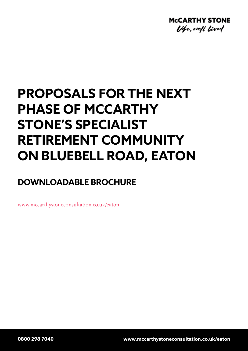

# **PROPOSALS FOR THE NEXT PHASE OF MCCARTHY STONE'S SPECIALIST RETIREMENT COMMUNITY ON BLUEBELL ROAD, EATON**

## **DOWNLOADABLE BROCHURE**

www.mccarthystoneconsultation.co.uk/eaton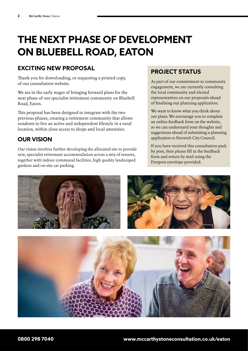## **THE NEXT PHASE OF DEVELOPMENT ON BLUEBELL ROAD, EATON**

## **EXCITING NEW PROPOSAL**

Thank you for downloading, or requesting a printed copy, of our consultation website.

We are in the early stages of bringing forward plans for the next phase of our specialist retirement community on Bluebell Road, Eaton.

This proposal has been designed to integrate with the two previous phases, creating a retirement community that allows residents to live an active and independent lifestyle in a rural location, within close access to shops and local amenities.

## **OUR VISION**

Our vision involves further developing the allocated site to provide new, specialist retirement accommodation across a mix of tenures, together with indoor communal facilities, high quality landscaped gardens and on-site car parking.

## **PROJECT STATUS**

As part of our commitment to community engagement, we are currently consulting the local community and elected representatives on our proposals ahead of finalising our planning application.

We want to know what you think about our plans. We encourage you to complete an online feedback form on the website, so we can understand your thoughts and suggestions ahead of submitting a planning application to Norwich City Council.

If you have received this consultation pack by post, then please fill in the feedback form and return by mail using the Freepost envelope provided.



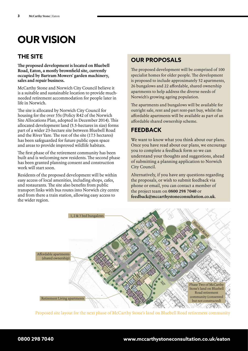## **OUR VISION**

## **THE SITE**

**The proposed development is located on Bluebell Road, Eaton, a mostly brownfield site, currently occupied by Bartram Mowers' garden machinery, sales and repair business.**

McCarthy Stone and Norwich City Council believe it is a suitable and sustainable location to provide muchneeded retirement accommodation for people later in life in Norwich.

The site is allocated by Norwich City Council for housing for the over 55s (Policy R42 of the Norwich Site Allocations Plan, adopted in December 2014). This allocated development land (5.5-hectares in size) forms part of a wider 23-hectare site between Bluebell Road and the River Yare. The rest of the site (17.5 hectares) has been safeguarded for future public open space and areas to provide improved wildlife habitats.

The first phase of the retirement community has been built and is welcoming new residents. The second phase has been granted planning consent and construction work will start soon.

Residents of the proposed development will be within easy access of local amenities, including shops, cafes, and restaurants. The site also benefits from public transport links with bus routes into Norwich city centre and from there a train station, allowing easy access to the wider region.

## **OUR PROPOSALS**

The proposed development will be comprised of 100 specialist homes for older people. The development is proposed to include approximately 52 apartments, 26 bungalows and 22 affordable, shared ownership apartments to help address the diverse needs of Norwich's growing ageing population.

The apartments and bungalows will be available for outright sale, rent and part rent-part buy, whilst the affordable apartments will be available as part of an affordable shared ownership scheme.

## **FEEDBACK**

We want to know what you think about our plans. Once you have read about our plans, we encourage you to complete a feedback form so we can understand your thoughts and suggestions, ahead of submitting a planning application to Norwich City Council.

Alternatively, if you have any questions regarding the proposals, or wish to submit feedback via phone or email, you can contact a member of the project team on **0800 298 7040** or **feedback@mccarthystoneconsultation.co.uk**.



Proposed site layout for the next phase of McCarthy Stone's land on Bluebell Road retirement community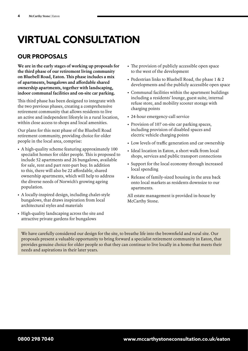## **VIRTUAL CONSULTATION**

## **OUR PROPOSALS**

**We are in the early stages of working up proposals for the third phase of our retirement living community on Bluebell Road, Eaton. This phase includes a mix of apartments, bungalows and affordable shared ownership apartments, together with landscaping, indoor communal facilities and on-site car parking.**

This third phase has been designed to integrate with the two previous phases, creating a comprehensive retirement community that allows residents to live an active and independent lifestyle in a rural location, within close access to shops and local amenities.

Our plans for this next phase of the Bluebell Road retirement community, providing choice for older people in the local area, comprise:

- A high-quality scheme featuring approximately 100 specialist homes for older people. This is proposed to include 52 apartments and 26 bungalows, available for sale, rent and part rent-part buy. In addition to this, there will also be 22 affordable, shared ownership apartments, which will help to address the diverse needs of Norwich's growing ageing population.
- A locally-inspired design, including chalet-style bungalows, that draws inspiration from local architectural styles and materials
- High-quality landscaping across the site and attractive private gardens for bungalows
- The provision of publicly accessible open space to the west of the development
- Pedestrian links to Bluebell Road, the phase 1 & 2 developments and the publicly accessible open space
- Communal facilities within the apartment buildings including a residents' lounge, guest suite, internal refuse store, and mobility scooter storage with charging points
- 24-hour emergency-call service
- Provision of 107 on-site car parking spaces, including provision of disabled spaces and electric vehicle charging points
- Low levels of traffic generation and car ownership
- Ideal location in Eaton, a short walk from local shops, services and public transport connections
- Support for the local economy through increased local spending
- Release of family-sized housing in the area back onto local markets as residents downsize to our apartments.

All estate management is provided in-house by McCarthy Stone.

We have carefully considered our design for the site, to breathe life into the brownfield and rural site. Our proposals present a valuable opportunity to bring forward a specialist retirement community in Eaton, that provides genuine choice for older people so that they can continue to live locally in a home that meets their needs and aspirations in their later years.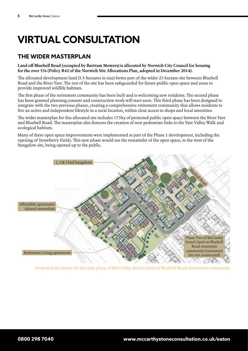## **VIRTUAL CONSULTATION**

## **THE WIDER MASTERPLAN**

**Land off Bluebell Road (occupied by Bartram Mowers) is allocated by Norwich City Council for housing for the over 55s (Policy R42 of the Norwich Site Allocations Plan, adopted in December 2014).**

The allocated development land (5.5-hectares in size) forms part of the wider 23-hectare site between Bluebell Road and the River Yare. The rest of the site has been safeguarded for future public open space and areas to provide improved wildlife habitats.

The first phase of the retirement community has been built and is welcoming new residents. The second phase has been granted planning consent and construction work will start soon. This third phase has been designed to integrate with the two previous phases, creating a comprehensive retirement community that allows residents to live an active and independent lifestyle in a rural location, within close access to shops and local amenities.

The wider masterplan for this allocated site includes 17.5ha of protected public open space between the River Yare and Bluebell Road. The masterplan also features the creation of new pedestrian links to the Yare Valley Walk and ecological habitats.

Many of these open space improvements were implemented as part of the Phase 1 development, including the opening of Strawberry Fields. This new phase would see the remainder of the open space, to the west of the bungalow site, being opened up to the public.



Proposed site layout for the next phase of McCarthy Stone's land on Bluebell Road retirement community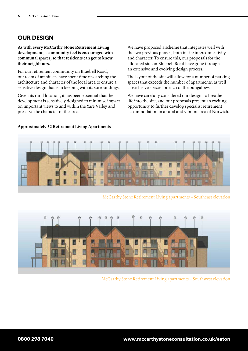### **OUR DESIGN**

**As with every McCarthy Stone Retirement Living development, a community feel is encouraged with communal spaces, so that residents can get to know their neighbours.**

For our retirement community on Bluebell Road, our team of architects have spent time researching the architecture and character of the local area to ensure a sensitive design that is in keeping with its surroundings.

Given its rural location, it has been essential that the development is sensitively designed to minimise impact on important views to and within the Yare Valley and preserve the character of the area.

We have proposed a scheme that integrates well with the two previous phases, both in site interconnectivity and character. To ensure this, our proposals for the allocated site on Bluebell Road have gone through an extensive and evolving design process.

The layout of the site will allow for a number of parking spaces that exceeds the number of apartments, as well as exclusive spaces for each of the bungalows.

We have carefully considered our design, to breathe life into the site, and our proposals present an exciting opportunity to further develop specialist retirement accommodation in a rural and vibrant area of Norwich.



McCarthy Stone Retirement Living apartments – Southeast elevation



McCarthy Stone Retirement Living apartments – Southwest elevation

#### **Approximately 52 Retirement Living Apartments**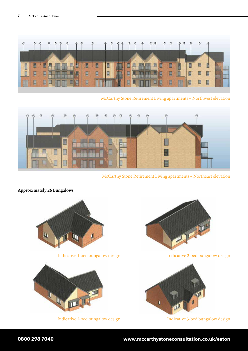

McCarthy Stone Retirement Living apartments – Northwest elevation



McCarthy Stone Retirement Living apartments – Northeast elevation

#### **Approximately 26 Bungalows**



Indicative 1-bed bungalow design



Indicative 2-bed bungalow design



Indicative 2-bed bungalow design



Indicative 3-bed bungalow design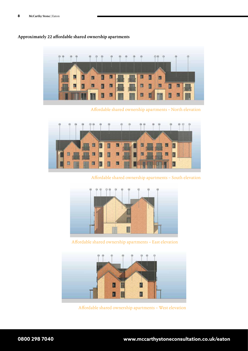

#### **Approximately 22 affordable shared ownership apartments**

Affordable shared ownership apartments – North elevation



Affordable shared ownership apartments – South elevation



Affordable shared ownership apartments – East elevation



Affordable shared ownership apartments – West elevation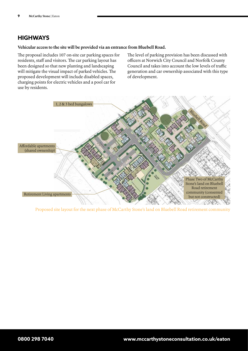## **HIGHWAYS**

#### **Vehicular access to the site will be provided via an entrance from Bluebell Road.**

The proposal includes 107 on-site car parking spaces for residents, staff and visitors. The car parking layout has been designed so that new planting and landscaping will mitigate the visual impact of parked vehicles. The proposed development will include disabled spaces, charging points for electric vehicles and a pool car for use by residents.

The level of parking provision has been discussed with officers at Norwich City Council and Norfolk County Council and takes into account the low levels of traffic generation and car ownership associated with this type of development.



Proposed site layout for the next phase of McCarthy Stone's land on Bluebell Road retirement community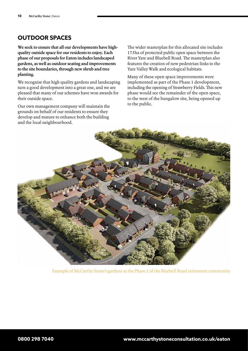### **OUTDOOR SPACES**

**We seek to ensure that all our developments have highquality outside space for our residents to enjoy. Each phase of our proposals for Eaton includes landscaped gardens, as well as outdoor seating and improvements to the site boundaries, through new shrub and tree planting.**

We recognise that high quality gardens and landscaping turn a good development into a great one, and we are pleased that many of our schemes have won awards for their outside space.

Our own management company will maintain the grounds on behalf of our residents to ensure they develop and mature to enhance both the building and the local neighbourhood.

The wider masterplan for this allocated site includes 17.5ha of protected public open space between the River Yare and Bluebell Road. The masterplan also features the creation of new pedestrian links to the Yare Valley Walk and ecological habitats.

Many of these open space improvements were implemented as part of the Phase 1 development, including the opening of Strawberry Fields. This new phase would see the remainder of the open space, to the west of the bungalow site, being opened up to the public.



Example of McCarthy Stone's gardens at the Phase 2 of the Bluebell Road retirement community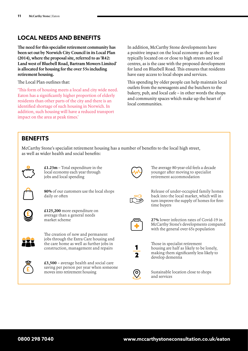### **LOCAL NEEDS AND BENEFITS**

**The need for this specialist retirement community has been set out by Norwich City Council in its Local Plan (2014), where the proposal site, referred to as 'R42: Land west of Bluebell Road, Bartram Mowers Limited' is allocated for housing for the over 55s including retirement housing.** 

The Local Plan outlines that:

'This form of housing meets a local and city wide need. Eaton has a significantly higher proportion of elderly residents than other parts of the city and there is an identified shortage of such housing in Norwich. In addition, such housing will have a reduced transport impact on the area at peak times.'

In addition, McCarthy Stone developments have a positive impact on the local economy as they are typically located on or close to high streets and local centres, as is the case with the proposed development for land on Bluebell Road. This ensures that residents have easy access to local shops and services.

This spending by older people can help maintain local outlets from the newsagents and the butchers to the bakery, pub, and local cafe – in other words the shops and community spaces which make up the heart of local communities.

#### **BENEFITS**

McCarthy Stone's specialist retirement housing has a number of benefits to the local high street, as well as wider health and social benefits:



**£1.23m** – Total expenditure in the local economy each year through jobs and local spending



**80%** of our customers use the local shops daily or often



**£125,200** more expenditure on average than a general needs market scheme



The creation of new and permanent jobs through the Extra Care housing and the care home as well as further jobs in construction, management and repairs



**£3,500** – average health and social care saving per person per year when someone moves into retirement housing



The average 80-year-old feels a decade younger after moving to specialist retirement accommodation



Release of under-occupied family homes back into the local market, which will in turn improve the supply of homes for firsttime buyers



**27%** lower infection rates of Covid-19 in McCarthy Stone's developments compared with the general over 65s population



Those in specialist retirement housing are half as likely to be lonely, making them significantly less likely to develop dementia



Sustainable location close to shops and services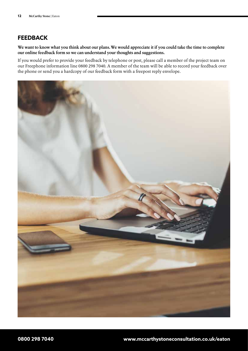### **FEEDBACK**

**We want to know what you think about our plans. We would appreciate it if you could take the time to complete our online feedback form so we can understand your thoughts and suggestions.** 

If you would prefer to provide your feedback by telephone or post, please call a member of the project team on our Freephone information line 0800 298 7040. A member of the team will be able to record your feedback over the phone or send you a hardcopy of our feedback form with a freepost reply envelope.

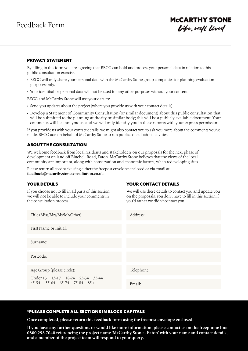## **MCCARTHY STONE** Vife, well lived

#### PRIVACY STATEMENT

By filling-in this form you are agreeing that BECG can hold and process your personal data in relation to this public consultation exercise.

- BECG will only share your personal data with the McCarthy Stone group companies for planning evaluation purposes only.
- Your identifiable, personal data will not be used for any other purposes without your consent.

BECG and McCarthy Stone will use your data to:

- Send you updates about the project (where you provide us with your contact details).
- Develop a Statement of Community Consultation (or similar document) about this public consultation that will be submitted to the planning authority or similar body; this will be a publicly available document. Your comments will be anonymous, and we will only identify you in these reports with your express permission.

If you provide us with your contact details, we might also contact you to ask you more about the comments you've made. BECG acts on behalf of McCarthy Stone to run public consultation activities.

#### ABOUT THE CONSULTATION

We welcome feedback from local residents and stakeholders on our proposals for the next phase of development on land off Bluebell Road, Eaton. McCarthy Stone believes that the views of the local community are important, along with conservation and economic factors, when redeveloping sites.

Please return all feedback using either the freepost envelope enclosed or via email at **feedback@mccarthystoneconsultation.co.uk**.

#### YOUR DETAILS

If you choose not to fill in **all** parts of this section, we will not be able to include your comments in the consultation process.

#### YOUR CONTACT DETAILS

We will use these details to contact you and update you on the proposals. You don't have to fill in this section if you'd rather we didn't contact you.

| Title (Miss/Mrs/Ms/Mr/Other):                                                                 | Address:   |
|-----------------------------------------------------------------------------------------------|------------|
| First Name or Initial:                                                                        |            |
| Surname:                                                                                      |            |
| Postcode:                                                                                     |            |
| Age Group (please circle):<br>Under 13 13-17 18-24 25-34 35-44<br>45-54 55-64 65-74 75-84 85+ | Telephone: |
|                                                                                               | Email:     |

#### \*PLEASE COMPLETE ALL SECTIONS IN BLOCK CAPITALS

**Once completed, please return this feedback form using the freepost envelope enclosed.**

**If you have any further questions or would like more information, please contact us on the freephone line 0800 298 7040 referencing the project name 'McCarthy Stone - Eaton' with your name and contact details, and a member of the project team will respond to your query.**